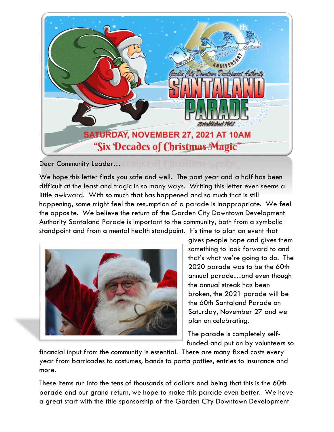

Dear Community Leader…

We hope this letter finds you safe and well. The past year and a half has been difficult at the least and tragic in so many ways. Writing this letter even seems a little awkward. With so much that has happened and so much that is still happening, some might feel the resumption of a parade is inappropriate. We feel the opposite. We believe the return of the Garden City Downtown Development Authority Santaland Parade is important to the community, both from a symbolic standpoint and from a mental health standpoint. It's time to plan an event that



gives people hope and gives them something to look forward to and that's what we're going to do. The 2020 parade was to be the 60th annual parade…and even though the annual streak has been broken, the 2021 parade will be the 60th Santaland Parade on Saturday, November 27 and we plan on celebrating.

The parade is completely selffunded and put on by volunteers so

financial input from the community is essential. There are many fixed costs every year from barricades to costumes, bands to porta potties, entries to insurance and more.

These items run into the tens of thousands of dollars and being that this is the 60th parade and our grand return, we hope to make this parade even better. We have a great start with the title sponsorship of the Garden City Downtown Development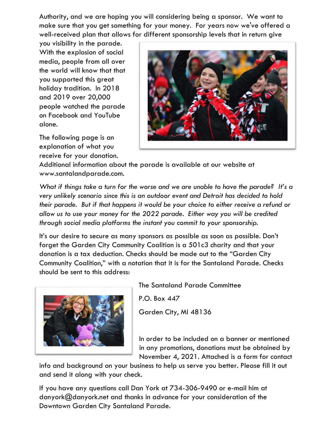Authority, and we are hoping you will considering being a sponsor. We want to make sure that you get something for your money. For years now we've offered a well-received plan that allows for different sponsorship levels that in return give

you visibility in the parade. With the explosion of social media, people from all over the world will know that that you supported this great holiday tradition. In 2018 and 2019 over 20,000 people watched the parade on Facebook and YouTube alone.

The following page is an explanation of what you receive for your donation.



Additional information about the parade is available at our website at www.santalandparade.com.

*What if things take a turn for the worse and we are unable to have the parade? It's a very unlikely scenario since this is an outdoor event and Detroit has decided to hold their parade. But if that happens it would be your choice to either receive a refund or allow us to use your money for the 2022 parade. Either way you will be credited through social media platforms the instant you commit to your sponsorship.* 

It's our desire to secure as many sponsors as possible as soon as possible. Don't forget the Garden City Community Coalition is a 501c3 charity and that your donation is a tax deduction. Checks should be made out to the "Garden City Community Coalition," with a notation that it is for the Santaland Parade. Checks should be sent to this address:



The Santaland Parade Committee

P.O. Box 447 Garden City, MI 48136

In order to be included on a banner or mentioned in any promotions, donations must be obtained by November 4, 2021. Attached is a form for contact

info and background on your business to help us serve you better. Please fill it out and send it along with your check.

If you have any questions call Dan York at 734-306-9490 or e-mail him at danyork@danyork.net and thanks in advance for your consideration of the Downtown Garden City Santaland Parade.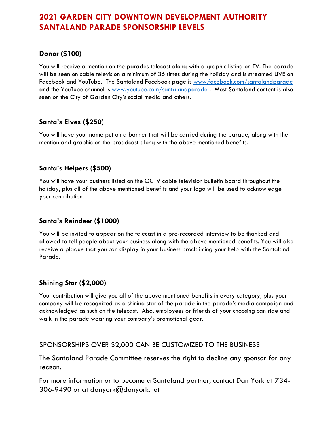## **2021 GARDEN CITY DOWNTOWN DEVELOPMENT AUTHORITY SANTALAND PARADE SPONSORSHIP LEVELS**

### **Donor (\$100)**

You will receive a mention on the parades telecast along with a graphic listing on TV. The parade will be seen on cable television a minimum of 36 times during the holiday and is streamed LIVE on Facebook and YouTube. The Santaland Facebook page is www.facebook.com/santalandparade and the YouTube channel is www.youtube.com/santalandparade. Most Santaland content is also seen on the City of Garden City's social media and others.

### **Santa's Elves (\$250)**

You will have your name put on a banner that will be carried during the parade, along with the mention and graphic on the broadcast along with the above mentioned benefits.

### **Santa's Helpers (\$500)**

You will have your business listed on the GCTV cable television bulletin board throughout the holiday, plus all of the above mentioned benefits and your logo will be used to acknowledge your contribution.

#### **Santa's Reindeer (\$1000)**

You will be invited to appear on the telecast in a pre-recorded interview to be thanked and allowed to tell people about your business along with the above mentioned benefits. You will also receive a plaque that you can display in your business proclaiming your help with the Santaland Parade.

#### **Shining Star (\$2,000)**

Your contribution will give you all of the above mentioned benefits in every category, plus your company will be recognized as a shining star of the parade in the parade's media campaign and acknowledged as such on the telecast. Also, employees or friends of your choosing can ride and walk in the parade wearing your company's promotional gear.

#### SPONSORSHIPS OVER \$2,000 CAN BE CUSTOMIZED TO THE BUSINESS

The Santaland Parade Committee reserves the right to decline any sponsor for any reason.

For more information or to become a Santaland partner, contact Dan York at 734- 306-9490 or at danyork@danyork.net